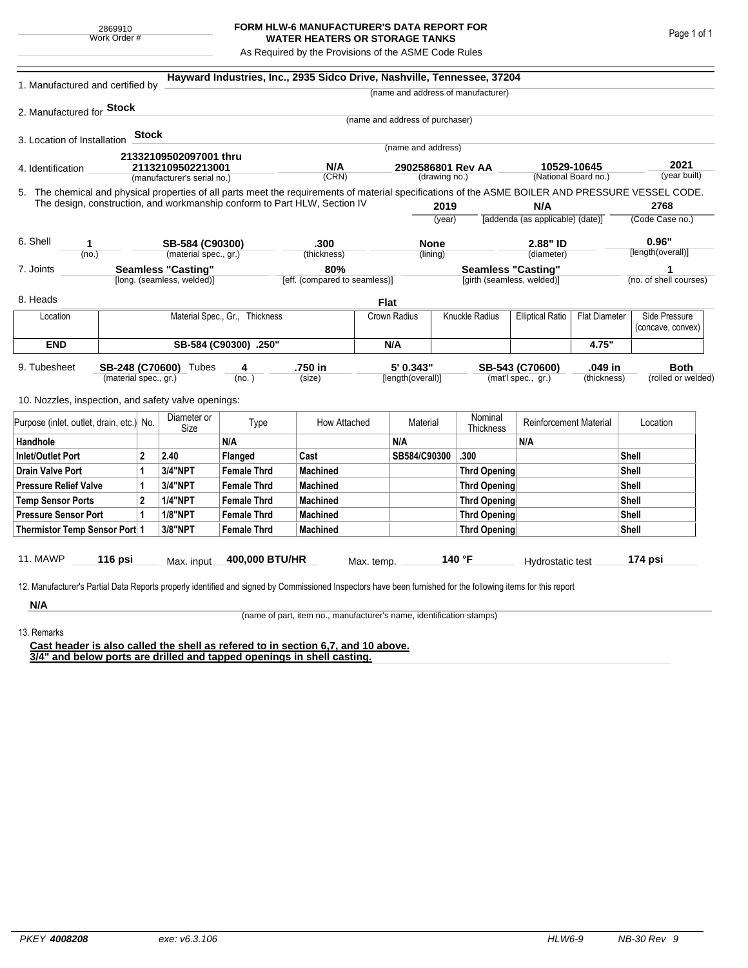## **FORM HLW-6 MANUFACTURER'S DATA REPORT FOR WATER HEATERS OR STORAGE TANKS**

As Required by the Provisions of the ASME Code Rules

| 1. Manufactured and certified by                                                                                                                              |                                          |                       |                                                         |                    | Hayward Industries, Inc., 2935 Sidco Drive, Nashville, Tennessee, 37204   |                                      |                                    |          |                                                         |                                                 |                      |                            |                                    |
|---------------------------------------------------------------------------------------------------------------------------------------------------------------|------------------------------------------|-----------------------|---------------------------------------------------------|--------------------|---------------------------------------------------------------------------|--------------------------------------|------------------------------------|----------|---------------------------------------------------------|-------------------------------------------------|----------------------|----------------------------|------------------------------------|
|                                                                                                                                                               |                                          |                       |                                                         |                    |                                                                           |                                      |                                    |          | (name and address of manufacturer)                      |                                                 |                      |                            |                                    |
| 2. Manufactured for <b>Stock</b>                                                                                                                              |                                          |                       |                                                         |                    |                                                                           |                                      |                                    |          |                                                         |                                                 |                      |                            |                                    |
|                                                                                                                                                               |                                          |                       |                                                         |                    |                                                                           |                                      | (name and address of purchaser)    |          |                                                         |                                                 |                      |                            |                                    |
| 3. Location of Installation                                                                                                                                   |                                          | <b>Stock</b>          |                                                         |                    |                                                                           |                                      | (name and address)                 |          |                                                         |                                                 |                      |                            |                                    |
|                                                                                                                                                               |                                          |                       | 21332109502097001 thru                                  |                    |                                                                           |                                      |                                    |          |                                                         |                                                 |                      |                            |                                    |
| 4. Identification                                                                                                                                             |                                          |                       | 21132109502213001<br>(manufacturer's serial no.)        |                    | N/A<br>(CRN)                                                              |                                      | 2902586801 Rev AA<br>(drawing no.) |          | 10529-10645                                             |                                                 | (National Board no.) |                            | 2021<br>(year built)               |
| 5. The chemical and physical properties of all parts meet the requirements of material specifications of the ASME BOILER AND PRESSURE VESSEL CODE.            |                                          |                       |                                                         |                    |                                                                           |                                      |                                    |          |                                                         |                                                 |                      |                            |                                    |
|                                                                                                                                                               |                                          |                       |                                                         |                    | The design, construction, and workmanship conform to Part HLW, Section IV |                                      |                                    | 2019     |                                                         | N/A                                             |                      |                            | 2768                               |
|                                                                                                                                                               |                                          |                       |                                                         |                    |                                                                           |                                      | (year)                             |          |                                                         | [addenda (as applicable) (date)]                |                      | (Code Case no.)            |                                    |
|                                                                                                                                                               |                                          |                       |                                                         |                    |                                                                           |                                      |                                    |          |                                                         |                                                 |                      |                            |                                    |
| 6. Shell<br>1                                                                                                                                                 |                                          |                       | SB-584 (C90300)                                         |                    | .300                                                                      |                                      | <b>None</b><br>(lining)            |          |                                                         | 2.88" ID                                        |                      | 0.96"<br>[length(overall)] |                                    |
| (no.)                                                                                                                                                         |                                          |                       | (material spec., gr.)                                   |                    | (thickness)                                                               |                                      |                                    |          |                                                         | (diameter)                                      |                      |                            |                                    |
| 7. Joints                                                                                                                                                     |                                          |                       | <b>Seamless "Casting"</b><br>[long. (seamless, welded)] |                    |                                                                           | 80%<br>[eff. (compared to seamless)] |                                    |          | <b>Seamless "Casting"</b><br>[girth (seamless, welded)] |                                                 |                      | (no. of shell courses)     |                                    |
|                                                                                                                                                               |                                          |                       |                                                         |                    |                                                                           |                                      |                                    |          |                                                         |                                                 |                      |                            |                                    |
| 8. Heads                                                                                                                                                      |                                          |                       |                                                         |                    |                                                                           | <b>Flat</b>                          |                                    |          |                                                         |                                                 |                      |                            |                                    |
| Location                                                                                                                                                      | Material Spec., Gr., Thickness           |                       |                                                         |                    |                                                                           |                                      | Crown Radius                       |          | Knuckle Radius                                          | <b>Elliptical Ratio</b><br><b>Flat Diameter</b> |                      |                            | Side Pressure<br>(concave, convex) |
| <b>END</b>                                                                                                                                                    |                                          | SB-584 (C90300) .250" |                                                         |                    |                                                                           |                                      | N/A                                |          |                                                         |                                                 | 4.75"                |                            |                                    |
| 9. Tubesheet                                                                                                                                                  |                                          |                       | SB-248 (C70600) Tubes                                   | 4                  | .750 in                                                                   |                                      | 5' 0.343"                          |          |                                                         | SB-543 (C70600)                                 | .049 in              |                            | <b>Both</b>                        |
|                                                                                                                                                               | (material spec., gr.)                    |                       |                                                         | (no. )             | (size)                                                                    |                                      | [length(overall)]                  |          |                                                         | (mat'l spec., gr.)                              | (thickness)          |                            | (rolled or welded)                 |
| 10. Nozzles, inspection, and safety valve openings:                                                                                                           |                                          |                       |                                                         |                    |                                                                           |                                      |                                    |          |                                                         |                                                 |                      |                            |                                    |
|                                                                                                                                                               | Purpose (inlet, outlet, drain, etc.) No. |                       | Diameter or<br>Size                                     | Type               |                                                                           | How Attached                         |                                    | Material |                                                         | <b>Reinforcement Material</b>                   |                      |                            | Location                           |
| Handhole                                                                                                                                                      |                                          |                       |                                                         | N/A                |                                                                           |                                      | N/A                                |          |                                                         | N/A                                             |                      |                            |                                    |
| <b>Inlet/Outlet Port</b>                                                                                                                                      | 2                                        |                       | 2.40                                                    | Flanged            | Cast                                                                      |                                      | SB584/C90300                       |          | .300                                                    |                                                 |                      | Shell                      |                                    |
| <b>Drain Valve Port</b><br>1                                                                                                                                  |                                          |                       | 3/4"NPT                                                 | <b>Female Thrd</b> | <b>Machined</b>                                                           |                                      |                                    |          | <b>Thrd Opening</b>                                     |                                                 |                      | Shell                      |                                    |
| <b>Pressure Relief Valve</b>                                                                                                                                  |                                          | 1                     | 3/4"NPT                                                 | <b>Female Thrd</b> | <b>Machined</b>                                                           |                                      |                                    |          | <b>Thrd Opening</b>                                     |                                                 |                      | Shell                      |                                    |
| $\overline{2}$<br><b>Temp Sensor Ports</b>                                                                                                                    |                                          |                       | <b>1/4"NPT</b>                                          | <b>Female Thrd</b> | <b>Machined</b>                                                           |                                      |                                    |          | <b>Thrd Opening</b>                                     |                                                 |                      | Shell                      |                                    |
| <b>Pressure Sensor Port</b><br>1                                                                                                                              |                                          |                       | <b>1/8"NPT</b>                                          | <b>Female Thrd</b> | <b>Machined</b>                                                           |                                      |                                    |          | Thrd Opening                                            |                                                 |                      | Shell                      |                                    |
| Thermistor Temp Sensor Port 1                                                                                                                                 |                                          |                       | 3/8"NPT                                                 | <b>Female Thrd</b> | <b>Machined</b>                                                           |                                      |                                    |          | Thrd Opening                                            |                                                 |                      | Shell                      |                                    |
| 11. MAWP                                                                                                                                                      | 116 psi                                  |                       | Max. input                                              | 400,000 BTU/HR     |                                                                           | Max. temp.                           |                                    |          | 140 °F                                                  | Hydrostatic test                                |                      |                            | 174 psi                            |
|                                                                                                                                                               |                                          |                       |                                                         |                    |                                                                           |                                      |                                    |          |                                                         |                                                 |                      |                            |                                    |
| 12. Manufacturer's Partial Data Reports properly identified and signed by Commissioned Inspectors have been furnished for the following items for this report |                                          |                       |                                                         |                    |                                                                           |                                      |                                    |          |                                                         |                                                 |                      |                            |                                    |
| N/A                                                                                                                                                           |                                          |                       |                                                         |                    |                                                                           |                                      |                                    |          |                                                         |                                                 |                      |                            |                                    |

(name of part, item no., manufacturer's name, identification stamps)

13. Remarks

**Cast header is also called the shell as refered to in section 6,7, and 10 above. 3/4" and below ports are drilled and tapped openings in shell casting.**